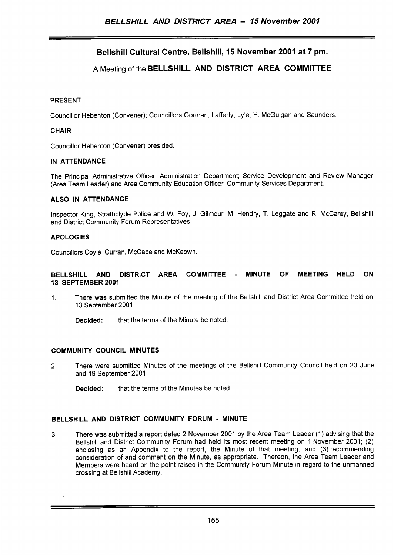# **Bellshill Cultural Centre, Bellshill, 15 November 2001 at 7 pm.**

## **A** Meeting of the **BELLSHILL AND DISTRICT AREA COMMITTEE**

## **PRESENT**

Councillor Hebenton (Convener); Councillors Gorman, Lafferty, Lyle, H. McGuigan and Saunders.

### **CHAIR**

Councillor Hebenton (Convener) presided.

#### **IN ATTENDANCE**

The Principal Administrative Officer, Administration Department; Service Development and Review Manager (Area Team Leader) and Area Community Education Officer, Community Services Department.

### **ALSO IN ATTENDANCE**

Inspector King, Strathclyde Police and W. Foy, J. Gilmour, M. Hendry, T. Leggate and R. McCarey, Bellshill and District Community Forum Representatives.

#### **APOLOGIES**

Councillors Coyle, Curran, McCabe and McKeown.

#### **BELLSHILL AND DISTRICT AREA COMMITTEE** - **MINUTE OF MEETING HELD ON 13 SEPTEMBER 2001**

- 1. There was submitted the Minute of the meeting of the Bellshill and District Area Committee held on 13 September 2001.
	- **Decided:** that the terms of the Minute be noted.

#### **COMMUNITY COUNCIL MINUTES**

- **2.** There were submitted Minutes of the meetings of the Bellshill Community Council held on 20 June and 19 September 2001.
	- **Decided:** that the terms of the Minutes be noted.

#### **BELLSHILL AND DISTRICT COMMUNITY FORUM** - **MINUTE**

3. There was submitted a report dated 2 November 2001 by the Area Team Leader (1) advising that the Bellshill and District Community Forum had held its most recent meeting on 1 November 2001; (2) enclosing as an Appendix to the report, the Minute of that meeting, and (3) recommending consideration of and comment on the Minute, as appropriate. Thereon, the Area Team Leader and Members were heard on the point raised in the Community Forum Minute in regard to the unmanned crossing at Bellshill Academy.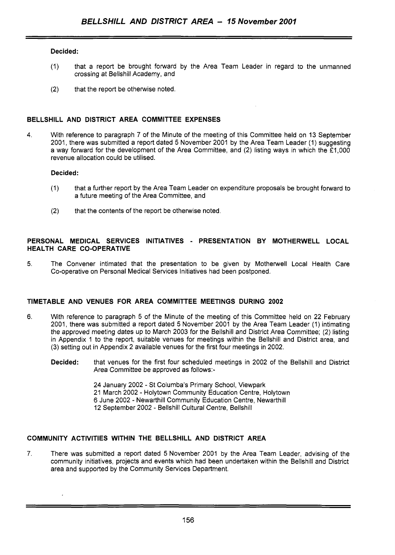## **Decided:**

- (1) that a report be brought forward by the Area Team Leader in regard to the unmanned crossing at Bellshill Academy, and
- (2) that the report be otherwise noted.

## **BELLSHILL AND DISTRICT AREA COMMITTEE EXPENSES**

**4.** With reference to paragraph 7 of the Minute of the meeting of this Committee held on 13 September 2001, there was submitted a report dated 5 November 2001 by the Area Team Leader (1) suggesting a way forward for the development of the Area Committee, and (2) listing ways in which the *f* 1,000 revenue allocation could be utilised.

## **Decided:**

- (1) that a further report by the Area Team Leader on expenditure proposals be brought forward to a future meeting of the Area Committee, and
- (2) that the contents of the report be otherwise noted.

#### **PERSONAL MEDICAL SERVICES INITIATIVES** - **PRESENTATION BY MOTHERWELL LOCAL HEALTH CARE CO-OPERATIVE**

5. The Convener intimated that the presentation to be given by Motherwell Local Health Care Co-operative on Personal Medical Services Initiatives had been postponed.

## **TIMETABLE AND VENUES FOR AREA COMMITTEE MEETINGS DURING 2002**

- **6.** With reference to paragraph 5 of the Minute of the meeting of this Committee held on 22 February 2001, there was submitted a report dated 5 November 2001 by the Area Team Leader (1) intimating the approved meeting dates up to March 2003 for the Bellshill and District Area Committee; (2) listing in Appendix 1 to the report, suitable venues for meetings within the Bellshill and District area, and (3) setting out in Appendix 2 available venues for the first four meetings in 2002.
	- **Decided:** that venues for the first four scheduled meetings in 2002 of the Bellshill and District Area Committee be approved as follows:-

24 January 2002 - St Columba's Primary School, Viewpark 21 March 2002 - Holytown Community Education Centre, Holytown 6 June 2002 - Newarthill Community Education Centre, Newarthill 12 September 2002 - Bellshill Cultural Centre, Bellshill

## **COMMUNITY ACTIVITIES WITHIN THE BELLSHILL AND DISTRICT AREA**

*7.* There was submitted a report dated 5 November 2001 by the Area Team Leader, advising of the community initiatives, projects and events which had been undertaken within the Bellshill and District area and supported by the Community Services Department.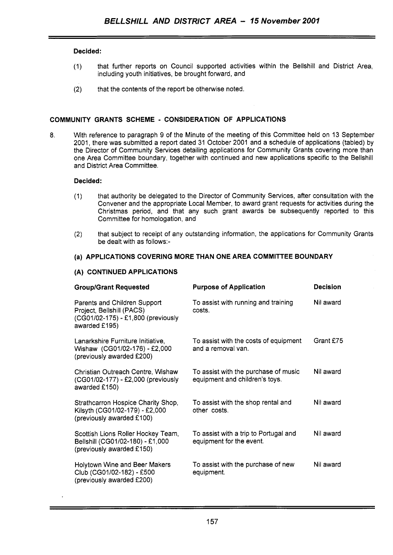## **Decided:**

- (I) that further reports on Council supported activities within the Bellshill and District Area, including youth initiatives, be brought forward, and
- (2) that the contents of the report be otherwise noted.

## **COMMUNITY GRANTS SCHEME** - **CONSIDERATION OF APPLICATIONS**

8. With reference to paragraph 9 of the Minute of the meeting of this Committee held on 13 September 2001, there was submitted a report dated 31 October 2001 and a schedule of applications (tabled) by the Director of Community Services detailing applications for Community Grants covering more than one Area Committee boundary, together with continued and new applications specific to the Bellshill and District Area Committee.

#### **Decided:**

- (1) that authority be delegated to the Director of Community Services, after consultation with the Convener and the appropriate Local Member, to award grant requests for activities during the Christmas period, and that any such grant awards be subsequently reported to this Committee for homologation, and
- (2) that subject to receipt of any outstanding information, the applications for Community Grants be dealt with as follows:-

## **(a) APPLICATIONS COVERING MORE THAN ONE AREA COMMITTEE BOUNDARY**

## **(A) CONTINUED APPLICATIONS**

| <b>Group/Grant Requested</b>                                                                                     | <b>Purpose of Application</b>                                          | <b>Decision</b> |
|------------------------------------------------------------------------------------------------------------------|------------------------------------------------------------------------|-----------------|
| Parents and Children Support<br>Project, Bellshill (PACS)<br>(CG01/02-175) - £1,800 (previously<br>awarded £195) | To assist with running and training<br>costs.                          | Nil award       |
| Lanarkshire Furniture Initiative,<br>Wishaw (CG01/02-176) - £2,000<br>(previously awarded £200)                  | To assist with the costs of equipment<br>and a removal van.            | Grant £75       |
| Christian Outreach Centre, Wishaw<br>(CG01/02-177) - £2,000 (previously<br>awarded £150)                         | To assist with the purchase of music<br>equipment and children's toys. | Nil award       |
| Strathcarron Hospice Charity Shop,<br>Kilsyth (CG01/02-179) - £2,000<br>(previously awarded £100)                | To assist with the shop rental and<br>other costs.                     | Nil award       |
| Scottish Lions Roller Hockey Team,<br>Bellshill (CG01/02-180) - £1,000<br>(previously awarded £150)              | To assist with a trip to Portugal and<br>equipment for the event.      | Nil award       |
| Holytown Wine and Beer Makers<br>Club (CG01/02-182) - £500<br>(previously awarded £200)                          | To assist with the purchase of new<br>equipment.                       | Nil award       |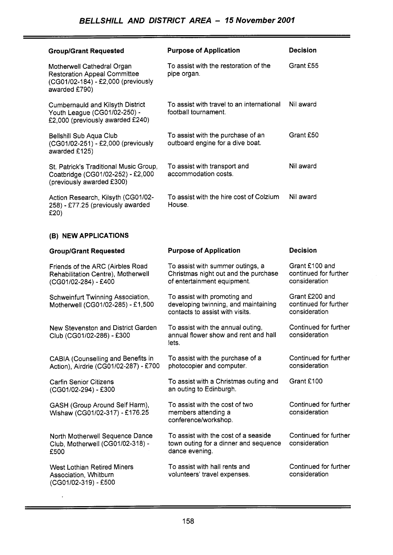| <b>Group/Grant Requested</b>                                                                                             | <b>Purpose of Application</b>                                         | Decision  |
|--------------------------------------------------------------------------------------------------------------------------|-----------------------------------------------------------------------|-----------|
| Motherwell Cathedral Organ<br><b>Restoration Appeal Committee</b><br>(CG01/02-184) - £2,000 (previously<br>awarded £790) | To assist with the restoration of the<br>pipe organ.                  | Grant £55 |
| <b>Cumbernauld and Kilsyth District</b><br>Youth League (CG01/02-250) -<br>£2,000 (previously awarded £240)              | To assist with travel to an international<br>football tournament.     | Nil award |
| Bellshill Sub Aqua Club<br>(CG01/02-251) - £2,000 (previously<br>awarded £125)                                           | To assist with the purchase of an<br>outboard engine for a dive boat. | Grant £50 |
| St. Patrick's Traditional Music Group,<br>Coatbridge (CG01/02-252) - £2,000<br>(previously awarded £300)                 | To assist with transport and<br>accommodation costs.                  | Nil award |
| Action Research, Kilsyth (CG01/02-<br>258) - £77.25 (previously awarded<br>£20)                                          | To assist with the hire cost of Colzium<br>House.                     | Nil award |

## **(B) NEW APPLICATIONS**

 $\ddot{\phantom{1}}$ 

| <b>Group/Grant Requested</b>                                                                   | <b>Purpose of Application</b>                                                                           | <b>Decision</b>                                          |
|------------------------------------------------------------------------------------------------|---------------------------------------------------------------------------------------------------------|----------------------------------------------------------|
| Friends of the ARC (Airbles Road<br>Rehabilitation Centre), Motherwell<br>(CG01/02-284) - £400 | To assist with summer outings, a<br>Christmas night out and the purchase<br>of entertainment equipment. | Grant £100 and<br>continued for further<br>consideration |
| Schweinfurt Twinning Association,<br>Motherwell (CG01/02-285) - £1,500                         | To assist with promoting and<br>developing twinning, and maintaining<br>contacts to assist with visits. | Grant £200 and<br>continued for further<br>consideration |
| New Stevenston and District Garden<br>Club (CG01/02-286) - £300                                | To assist with the annual outing,<br>annual flower show and rent and hall<br>lets.                      | Continued for further<br>consideration                   |
| CABIA (Counselling and Benefits in<br>Action), Airdrie (CG01/02-287) - £700                    | To assist with the purchase of a<br>photocopier and computer.                                           | Continued for further<br>consideration                   |
| <b>Carfin Senior Citizens</b><br>(CG01/02-294) - £300                                          | To assist with a Christmas outing and<br>an outing to Edinburgh.                                        | Grant £100                                               |
| GASH (Group Around Self Harm),<br>Wishaw (CG01/02-317) - £176.25                               | To assist with the cost of two<br>members attending a<br>conference/workshop.                           | Continued for further<br>consideration                   |
| North Motherwell Sequence Dance<br>Club, Motherwell (CG01/02-318) -<br>£500                    | To assist with the cost of a seaside<br>town outing for a dinner and sequence<br>dance evening.         | Continued for further<br>consideration                   |
| <b>West Lothian Retired Miners</b><br>Association, Whitburn<br>(CG01/02-319) - £500            | To assist with hall rents and<br>volunteers' travel expenses.                                           | Continued for further<br>consideration                   |

÷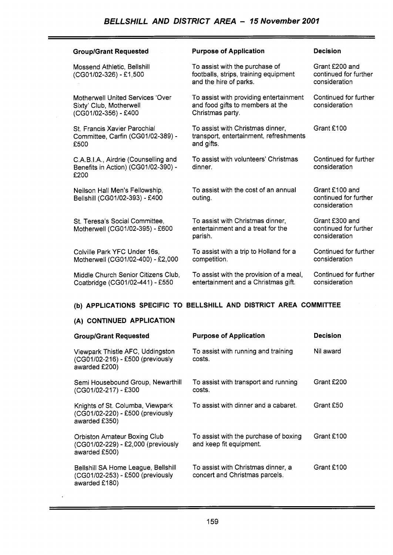| <b>Group/Grant Requested</b>                                                               | <b>Purpose of Application</b>                                                                     | <b>Decision</b>                                          |
|--------------------------------------------------------------------------------------------|---------------------------------------------------------------------------------------------------|----------------------------------------------------------|
| Mossend Athletic, Bellshill<br>(CG01/02-326) - £1,500                                      | To assist with the purchase of<br>footballs, strips, training equipment<br>and the hire of parks. | Grant £200 and<br>continued for further<br>consideration |
| <b>Motherwell United Services 'Over</b><br>Sixty' Club, Motherwell<br>(CG01/02-356) - £400 | To assist with providing entertainment<br>and food gifts to members at the<br>Christmas party.    | Continued for further<br>consideration                   |
| <b>St. Francis Xavier Parochial</b><br>Committee, Carfin (CG01/02-389) -<br>£500           | To assist with Christmas dinner,<br>transport, entertainment, refreshments<br>and gifts.          | Grant £100                                               |
| C.A.B.I.A., Airdrie (Counselling and<br>Benefits in Action) (CG01/02-390) -<br>£200        | To assist with volunteers' Christmas<br>dinner.                                                   | Continued for further<br>consideration                   |
| Neilson Hall Men's Fellowship,<br>Bellshill (CG01/02-393) - £400                           | To assist with the cost of an annual<br>outing.                                                   | Grant £100 and<br>continued for further<br>consideration |
| St. Teresa's Social Committee,<br>Motherwell (CG01/02-395) - £600                          | To assist with Christmas dinner,<br>entertainment and a treat for the<br>parish.                  | Grant £300 and<br>continued for further<br>consideration |
| Colville Park YFC Under 16s,<br>Motherwell (CG01/02-400) - £2,000                          | To assist with a trip to Holland for a<br>competition.                                            | Continued for further<br>consideration                   |
| Middle Church Senior Citizens Club,<br>Coatbridge (CG01/02-441) - £550                     | To assist with the provision of a meal,<br>entertainment and a Christmas gift.                    | Continued for further<br>consideration                   |

# **(b) APPLICATIONS SPECIFIC TO BELLSHILL AND DISTRICT AREA COMMITTEE**

# **(A) CONTINUED APPLICATION**

 $\mathcal{L}$ 

| <b>Group/Grant Requested</b>                                                               | <b>Purpose of Application</b>                                        | Decision   |
|--------------------------------------------------------------------------------------------|----------------------------------------------------------------------|------------|
| Viewpark Thistle AFC, Uddingston<br>(CG01/02-216) - £500 (previously<br>awarded £200)      | To assist with running and training<br>costs.                        | Nil award  |
| Semi Housebound Group, Newarthill<br>(CG01/02-217) - £300                                  | To assist with transport and running<br>costs.                       | Grant £200 |
| Knights of St. Columba, Viewpark<br>(CG01/02-220) - £500 (previously<br>awarded £350)      | To assist with dinner and a cabaret.                                 | Grant £50  |
| <b>Orbiston Amateur Boxing Club</b><br>(CG01/02-229) - £2,000 (previously<br>awarded £500) | To assist with the purchase of boxing<br>and keep fit equipment.     | Grant £100 |
| Bellshill SA Home League, Bellshill<br>(CG01/02-253) - £500 (previously<br>awarded £180)   | To assist with Christmas dinner, a<br>concert and Christmas parcels. | Grant £100 |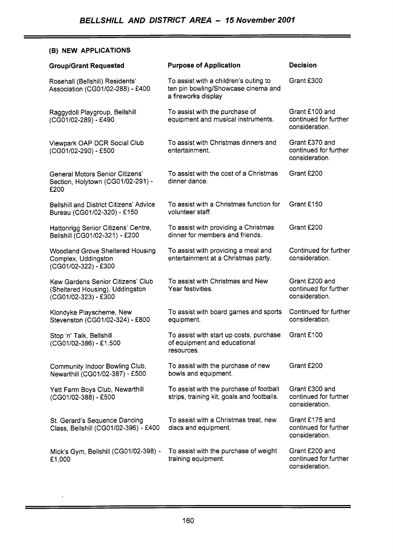## **(B) NEW APPLICATIONS**

 $\hat{\mathcal{A}}$ 

| <b>Group/Grant Requested</b>                                                                 | <b>Purpose of Application</b>                                                                       | <b>Decision</b>                                           |
|----------------------------------------------------------------------------------------------|-----------------------------------------------------------------------------------------------------|-----------------------------------------------------------|
| Rosehall (Bellshill) Residents'<br>Association (CG01/02-288) - £400                          | To assist with a children's outing to<br>ten pin bowling/Showcase cinema and<br>a fireworks display | Grant £300                                                |
| Raggydoll Playgroup, Bellshill<br>(CG01/02-289) - £490                                       | To assist with the purchase of<br>equipment and musical instruments.                                | Grant £100 and<br>continued for further<br>consideration. |
| Viewpark OAP DCR Social Club<br>(CG01/02-290) - £500                                         | To assist with Christmas dinners and<br>entertainment.                                              | Grant £370 and<br>continued for further<br>consideration. |
| <b>General Motors Senior Citizens'</b><br>Section, Holytown (CG01/02-291) -<br>£200          | To assist with the cost of a Christmas<br>dinner dance.                                             | Grant £200                                                |
| <b>Bellshill and District Citizens' Advice</b><br>Bureau (CG01/02-320) - £150                | To assist with a Christmas function for<br>volunteer staff.                                         | Grant £150                                                |
| Hattonrigg Senior Citizens' Centre,<br>Bellshill (CG01/02-321) - £200                        | To assist with providing a Christmas<br>dinner for members and friends.                             | Grant £200                                                |
| <b>Woodland Grove Sheltered Housing</b><br>Complex, Uddingston<br>(CG01/02-322) - £300       | To assist with providing a meal and<br>entertainment at a Christmas party.                          | Continued for further<br>consideration.                   |
| Kew Gardens Senior Citizens' Club<br>(Sheltered Housing), Uddingston<br>(CG01/02-323) - £300 | To assist with Christmas and New<br>Year festivities.                                               | Grant £200 and<br>continued for further<br>consideration. |
| Klondyke Playscheme, New<br>Stevenston (CG01/02-324) - £800                                  | To assist with board games and sports<br>equipment.                                                 | Continued for further<br>consideration.                   |
| Stop 'n' Talk, Bellshill<br>(CG01/02-386) - £1,500                                           | To assist with start up costs, purchase<br>of equipment and educational<br>resources.               | Grant £100                                                |
| Community Indoor Bowling Club,<br>Newarthill (CG01/02-387) - £500                            | To assist with the purchase of new<br>bowls and equipment.                                          | Grant £200                                                |
| Yett Farm Boys Club, Newarthill<br>(CG01/02-388) - £500                                      | To assist with the purchase of football<br>strips, training kit, goals and footballs.               | Grant £300 and<br>continued for further<br>consideration. |
| St. Gerard's Sequence Dancing<br>Class, Bellshill (CG01/02-396) - £400                       | To assist with a Christmas treat, new<br>discs and equipment.                                       | Grant £175 and<br>continued for further<br>consideration. |
| Mick's Gym, Bellshill (CG01/02-398) -<br>£1,000                                              | To assist with the purchase of weight<br>training equipment.                                        | Grant £200 and<br>continued for further<br>consideration. |